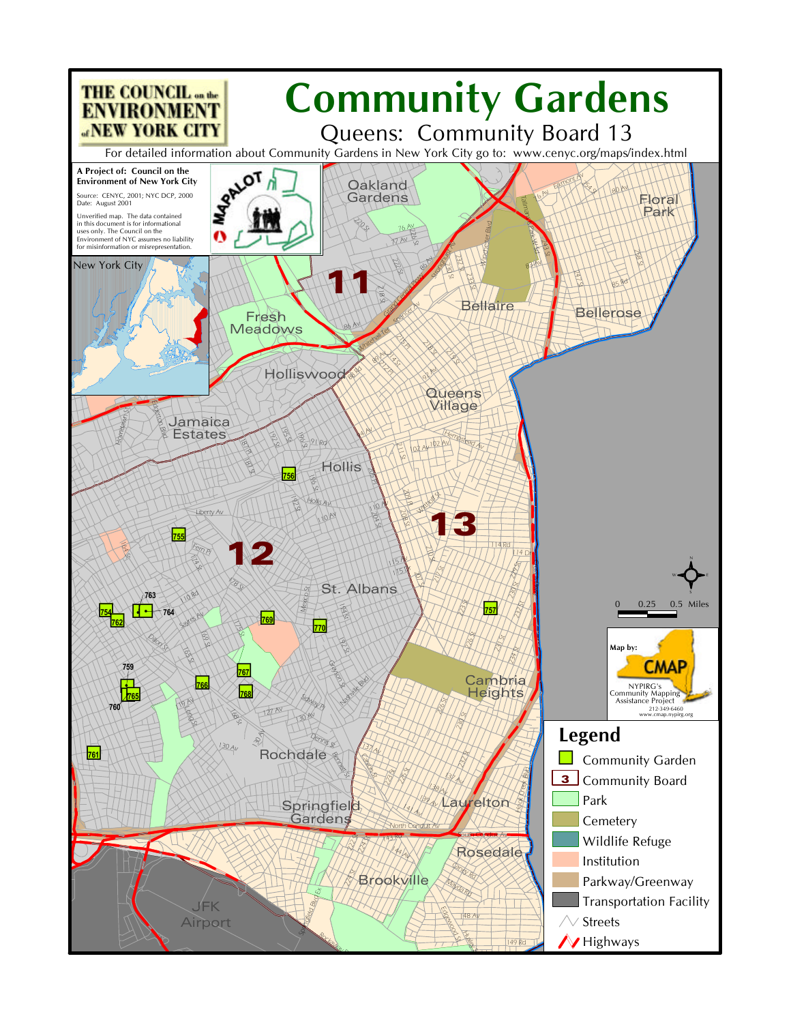